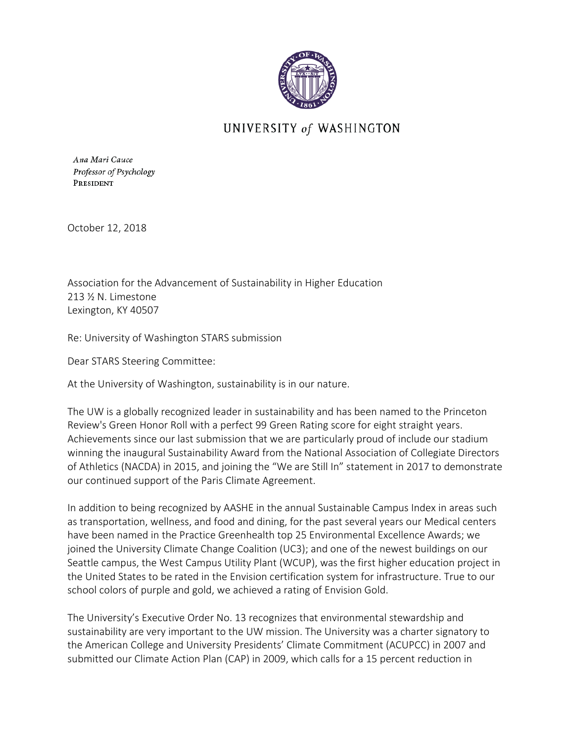

## UNIVERSITY of WASHINGTON

Ana Mari Cauce Professor of Psychology PRESIDENT

October 12, 2018

Association for the Advancement of Sustainability in Higher Education 213 ½ N. Limestone Lexington, KY 40507

Re: University of Washington STARS submission

Dear STARS Steering Committee:

At the University of Washington, sustainability is in our nature.

The UW is a globally recognized leader in sustainability and has been named to the Princeton Review's Green Honor Roll with a perfect 99 Green Rating score for eight straight years. Achievements since our last submission that we are particularly proud of include our stadium winning the inaugural Sustainability Award from the National Association of Collegiate Directors of Athletics (NACDA) in 2015, and joining the "We are Still In" statement in 2017 to demonstrate our continued support of the Paris Climate Agreement.

In addition to being recognized by AASHE in the annual Sustainable Campus Index in areas such as transportation, wellness, and food and dining, for the past several years our Medical centers have been named in the Practice Greenhealth top 25 Environmental Excellence Awards; we joined the University Climate Change Coalition (UC3); and one of the newest buildings on our Seattle campus, the West Campus Utility Plant (WCUP), was the first higher education project in the United States to be rated in the Envision certification system for infrastructure. True to our school colors of purple and gold, we achieved a rating of Envision Gold.

The University's Executive Order No. 13 recognizes that environmental stewardship and sustainability are very important to the UW mission. The University was a charter signatory to the American College and University Presidents' Climate Commitment (ACUPCC) in 2007 and submitted our Climate Action Plan (CAP) in 2009, which calls for a 15 percent reduction in